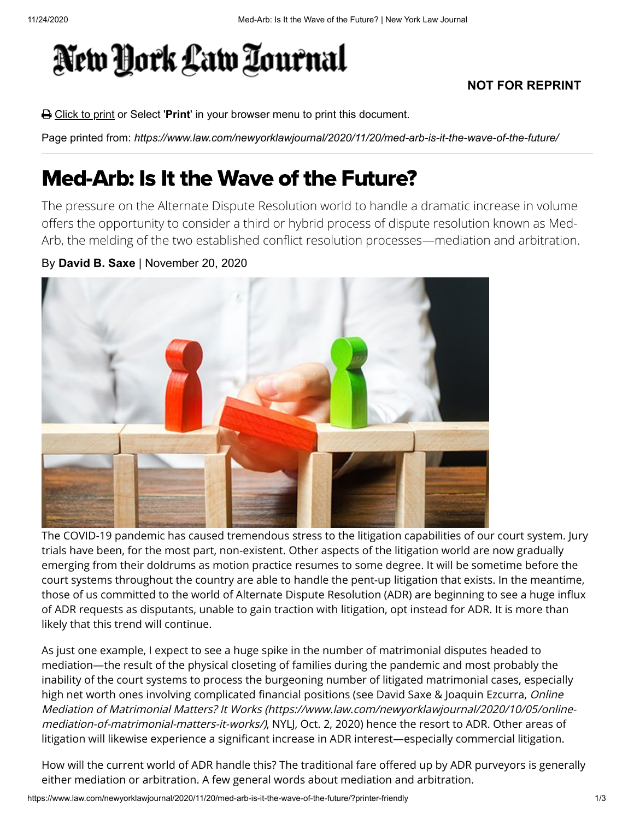## New York Law Tournal

## **NOT FOR REPRINT**

Click to print or Select '**Print**' in your browser menu to print this document.

Page printed from: *https://www.law.com/newyorklawjournal/2020/11/20/med-arb-is-it-the-wave-of-the-future/*

## Med-Arb: Is It the Wave of the Future?

The pressure on the Alternate Dispute Resolution world to handle a dramatic increase in volume offers the opportunity to consider a third or hybrid process of dispute resolution known as Med-Arb, the melding of the two established conflict resolution processes—mediation and arbitration.

## By **David B. Saxe** | November 20, 2020



The COVID-19 pandemic has caused tremendous stress to the litigation capabilities of our court system. Jury trials have been, for the most part, non-existent. Other aspects of the litigation world are now gradually emerging from their doldrums as motion practice resumes to some degree. It will be sometime before the court systems throughout the country are able to handle the pent-up litigation that exists. In the meantime, those of us committed to the world of Alternate Dispute Resolution (ADR) are beginning to see a huge influx of ADR requests as disputants, unable to gain traction with litigation, opt instead for ADR. It is more than likely that this trend will continue.

As just one example, I expect to see a huge spike in the number of matrimonial disputes headed to mediation—the result of the physical closeting of families during the pandemic and most probably the inability of the court systems to process the burgeoning number of litigated matrimonial cases, especially high net worth ones involving complicated financial positions (see David Saxe & Joaquin Ezcurra, Online [Mediation of Matrimonial Matters? It Works \(https://www.law.com/newyorklawjournal/2020/10/05/online](https://www.law.com/newyorklawjournal/2020/10/05/online-mediation-of-matrimonial-matters-it-works/)mediation-of-matrimonial-matters-it-works/), NYLJ, Oct. 2, 2020) hence the resort to ADR. Other areas of litigation will likewise experience a significant increase in ADR interest—especially commercial litigation.

How will the current world of ADR handle this? The traditional fare offered up by ADR purveyors is generally either mediation or arbitration. A few general words about mediation and arbitration.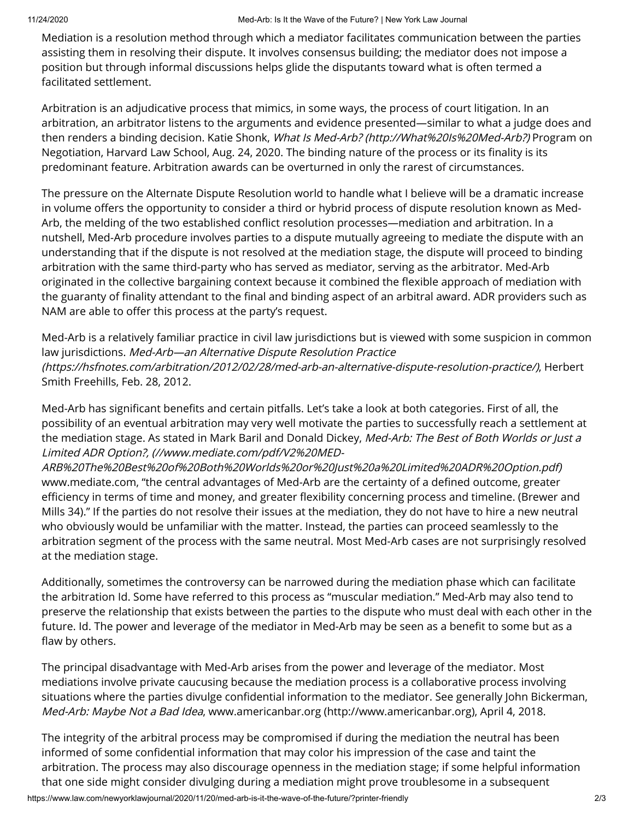Mediation is a resolution method through which a mediator facilitates communication between the parties assisting them in resolving their dispute. It involves consensus building; the mediator does not impose a position but through informal discussions helps glide the disputants toward what is often termed a facilitated settlement.

Arbitration is an adjudicative process that mimics, in some ways, the process of court litigation. In an arbitration, an arbitrator listens to the arguments and evidence presented—similar to what a judge does and then renders a binding decision. Katie Shonk, [What Is Med-Arb? \(http://What%20Is%20Med-Arb?\)](http://what%20is%20med-arb/?) Program on Negotiation, Harvard Law School, Aug. 24, 2020. The binding nature of the process or its finality is its predominant feature. Arbitration awards can be overturned in only the rarest of circumstances.

The pressure on the Alternate Dispute Resolution world to handle what I believe will be a dramatic increase in volume offers the opportunity to consider a third or hybrid process of dispute resolution known as Med-Arb, the melding of the two established conflict resolution processes—mediation and arbitration. In a nutshell, Med-Arb procedure involves parties to a dispute mutually agreeing to mediate the dispute with an understanding that if the dispute is not resolved at the mediation stage, the dispute will proceed to binding arbitration with the same third-party who has served as mediator, serving as the arbitrator. Med-Arb originated in the collective bargaining context because it combined the flexible approach of mediation with the guaranty of finality attendant to the final and binding aspect of an arbitral award. ADR providers such as NAM are able to offer this process at the party's request.

Med-Arb is a relatively familiar practice in civil law jurisdictions but is viewed with some suspicion in common law jurisdictions. Med-Arb-an Alternative Dispute Resolution Practice [\(https://hsfnotes.com/arbitration/2012/02/28/med-arb-an-alternative-dispute-resolution-practice/\)](https://hsfnotes.com/arbitration/2012/02/28/med-arb-an-alternative-dispute-resolution-practice/), Herbert Smith Freehills, Feb. 28, 2012.

Med-Arb has significant benefits and certain pitfalls. Let's take a look at both categories. First of all, the possibility of an eventual arbitration may very well motivate the parties to successfully reach a settlement at the mediation stage. As stated in Mark Baril and Donald Dickey, Med-Arb: The Best of Both Worlds or Just a Limited ADR Option?, (//www.mediate.com/pdf/V2%20MED-

[ARB%20The%20Best%20of%20Both%20Worlds%20or%20Just%20a%20Limited%20ADR%20Option.pdf\)](https://www.mediate.com/pdf/V2%20MED-ARB%20The%20Best%20of%20Both%20Worlds%20or%20Just%20a%20Limited%20ADR%20Option.pdf) www.mediate.com, "the central advantages of Med-Arb are the certainty of a defined outcome, greater efficiency in terms of time and money, and greater flexibility concerning process and timeline. (Brewer and Mills 34)." If the parties do not resolve their issues at the mediation, they do not have to hire a new neutral who obviously would be unfamiliar with the matter. Instead, the parties can proceed seamlessly to the arbitration segment of the process with the same neutral. Most Med-Arb cases are not surprisingly resolved at the mediation stage.

Additionally, sometimes the controversy can be narrowed during the mediation phase which can facilitate the arbitration Id. Some have referred to this process as "muscular mediation." Med-Arb may also tend to preserve the relationship that exists between the parties to the dispute who must deal with each other in the future. Id. The power and leverage of the mediator in Med-Arb may be seen as a benefit to some but as a flaw by others.

The principal disadvantage with Med-Arb arises from the power and leverage of the mediator. Most mediations involve private caucusing because the mediation process is a collaborative process involving situations where the parties divulge confidential information to the mediator. See generally John Bickerman, Med-Arb: Maybe Not a Bad Idea, [www.americanbar.org \(http://www.americanbar.org\),](http://www.americanbar.org/) April 4, 2018.

https://www.law.com/newyorklawjournal/2020/11/20/med-arb-is-it-the-wave-of-the-future/?printer-friendly 2/3 The integrity of the arbitral process may be compromised if during the mediation the neutral has been informed of some confidential information that may color his impression of the case and taint the arbitration. The process may also discourage openness in the mediation stage; if some helpful information that one side might consider divulging during a mediation might prove troublesome in a subsequent